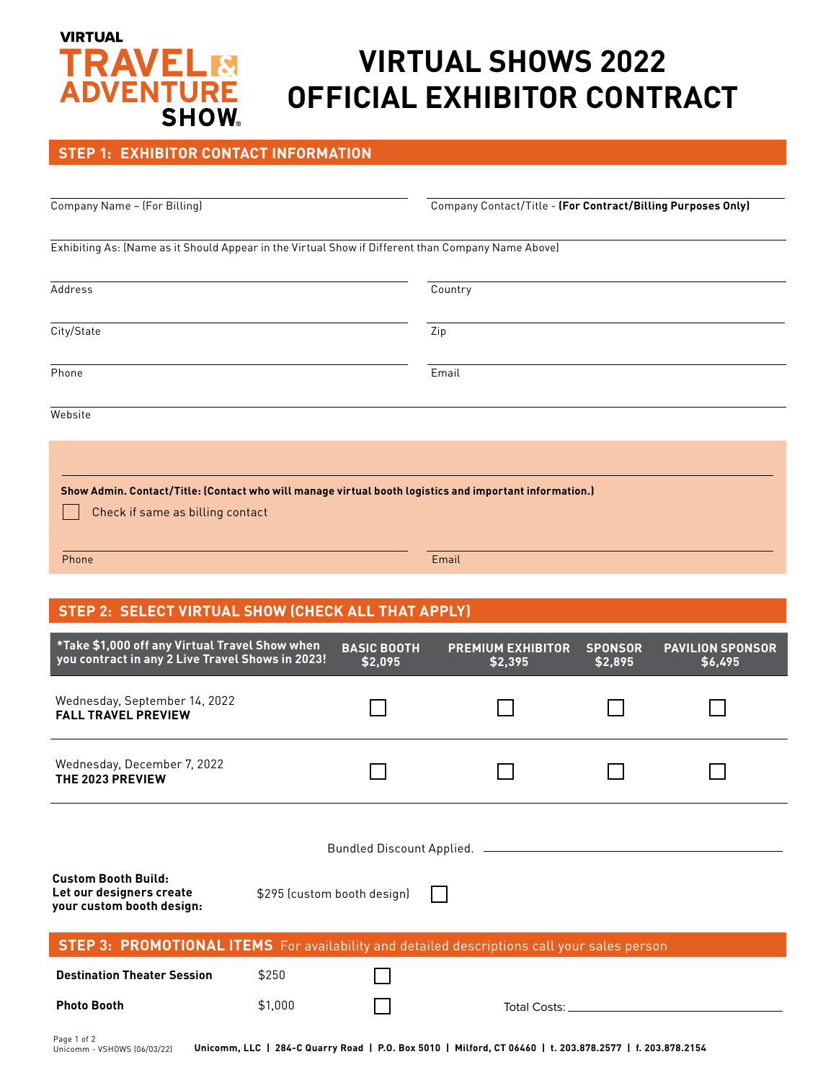# **VIRTUAL TRAVELM**<br>ADVENTURE **SHOW**

# **VIRTUAL SHOWS 2022 OFFICIAL EXHIBITOR CONTRACT**

## **STEP 1: EXHIBITOR CONTACT INFORMATION**

| Company Name - (For Billing)                                                                       | Company Contact/Title - (For Contract/Billing Purposes Only)                                            |  |  |
|----------------------------------------------------------------------------------------------------|---------------------------------------------------------------------------------------------------------|--|--|
| Exhibiting As: (Name as it Should Appear in the Virtual Show if Different than Company Name Above) |                                                                                                         |  |  |
| Address                                                                                            | Country                                                                                                 |  |  |
| City/State                                                                                         | Zip                                                                                                     |  |  |
| Phone                                                                                              | Email                                                                                                   |  |  |
| Website                                                                                            |                                                                                                         |  |  |
|                                                                                                    |                                                                                                         |  |  |
| Check if same as billing contact                                                                   | Show Admin. Contact/Title: (Contact who will manage virtual booth logistics and important information.) |  |  |
| Phone                                                                                              | Email                                                                                                   |  |  |

## **STEP 2: SELECT VIRTUAL SHOW (CHECK ALL THAT APPLY)**

| *Take \$1,000 off any Virtual Travel Show when<br>you contract in any 2 Live Travel Shows in 2023! |         | <b>BASIC BOOTH</b><br>\$2,095 | <b>PREMIUM EXHIBITOR</b><br>\$2,395 | <b>SPONSOR</b><br>\$2,895 | <b>PAVILION SPONSOR</b><br>\$6,495 |  |  |
|----------------------------------------------------------------------------------------------------|---------|-------------------------------|-------------------------------------|---------------------------|------------------------------------|--|--|
| Wednesday, September 14, 2022<br><b>FALL TRAVEL PREVIEW</b>                                        |         |                               |                                     |                           |                                    |  |  |
| Wednesday, December 7, 2022<br>THE 2023 PREVIEW                                                    |         |                               |                                     |                           |                                    |  |  |
| <b>Custom Booth Build:</b>                                                                         |         |                               |                                     |                           |                                    |  |  |
| Let our designers create<br>your custom booth design:                                              |         | \$295 (custom booth design)   |                                     |                           |                                    |  |  |
| <b>STEP 3: PROMOTIONAL ITEMS</b> For availability and detailed descriptions call your sales person |         |                               |                                     |                           |                                    |  |  |
| <b>Destination Theater Session</b>                                                                 | \$250   |                               |                                     |                           |                                    |  |  |
| <b>Photo Booth</b>                                                                                 | \$1,000 |                               | Total Costs:                        |                           |                                    |  |  |
|                                                                                                    |         |                               |                                     |                           |                                    |  |  |